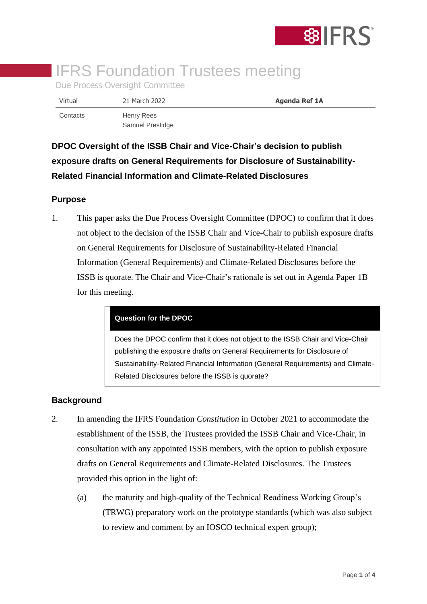

# **IFRS Foundation Trustees meeting**

Due Process Oversight Committee

| Virtual  | 21 March 2022                  | <b>Agenda Ref 1A</b> |
|----------|--------------------------------|----------------------|
| Contacts | Henry Rees<br>Samuel Prestidge |                      |

**DPOC Oversight of the ISSB Chair and Vice-Chair's decision to publish exposure drafts on General Requirements for Disclosure of Sustainability-Related Financial Information and Climate-Related Disclosures**

### **Purpose**

1. This paper asks the Due Process Oversight Committee (DPOC) to confirm that it does not object to the decision of the ISSB Chair and Vice-Chair to publish exposure drafts on General Requirements for Disclosure of Sustainability-Related Financial Information (General Requirements) and Climate-Related Disclosures before the ISSB is quorate. The Chair and Vice-Chair's rationale is set out in Agenda Paper 1B for this meeting.

#### **Question for the DPOC**

Does the DPOC confirm that it does not object to the ISSB Chair and Vice-Chair publishing the exposure drafts on General Requirements for Disclosure of Sustainability-Related Financial Information (General Requirements) and Climate-Related Disclosures before the ISSB is quorate?

## **Background**

- 2. In amending the IFRS Foundation *Constitution* in October 2021 to accommodate the establishment of the ISSB, the Trustees provided the ISSB Chair and Vice-Chair, in consultation with any appointed ISSB members, with the option to publish exposure drafts on General Requirements and Climate-Related Disclosures. The Trustees provided this option in the light of:
	- (a) the maturity and high-quality of the Technical Readiness Working Group's (TRWG) preparatory work on the prototype standards (which was also subject to review and comment by an IOSCO technical expert group);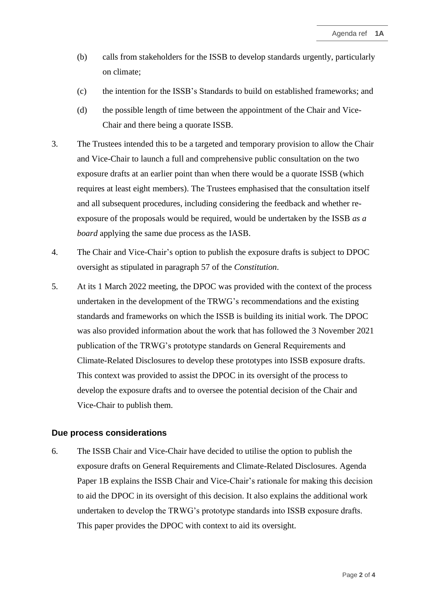- (b) calls from stakeholders for the ISSB to develop standards urgently, particularly on climate;
- (c) the intention for the ISSB's Standards to build on established frameworks; and
- (d) the possible length of time between the appointment of the Chair and Vice-Chair and there being a quorate ISSB.
- 3. The Trustees intended this to be a targeted and temporary provision to allow the Chair and Vice-Chair to launch a full and comprehensive public consultation on the two exposure drafts at an earlier point than when there would be a quorate ISSB (which requires at least eight members). The Trustees emphasised that the consultation itself and all subsequent procedures, including considering the feedback and whether reexposure of the proposals would be required, would be undertaken by the ISSB *as a board* applying the same due process as the IASB.
- 4. The Chair and Vice-Chair's option to publish the exposure drafts is subject to DPOC oversight as stipulated in paragraph 57 of the *Constitution*.
- 5. At its 1 March 2022 meeting, the DPOC was provided with the context of the process undertaken in the development of the TRWG's recommendations and the existing standards and frameworks on which the ISSB is building its initial work. The DPOC was also provided information about the work that has followed the 3 November 2021 publication of the TRWG's prototype standards on General Requirements and Climate-Related Disclosures to develop these prototypes into ISSB exposure drafts. This context was provided to assist the DPOC in its oversight of the process to develop the exposure drafts and to oversee the potential decision of the Chair and Vice-Chair to publish them.

#### **Due process considerations**

6. The ISSB Chair and Vice-Chair have decided to utilise the option to publish the exposure drafts on General Requirements and Climate-Related Disclosures. Agenda Paper 1B explains the ISSB Chair and Vice-Chair's rationale for making this decision to aid the DPOC in its oversight of this decision. It also explains the additional work undertaken to develop the TRWG's prototype standards into ISSB exposure drafts. This paper provides the DPOC with context to aid its oversight.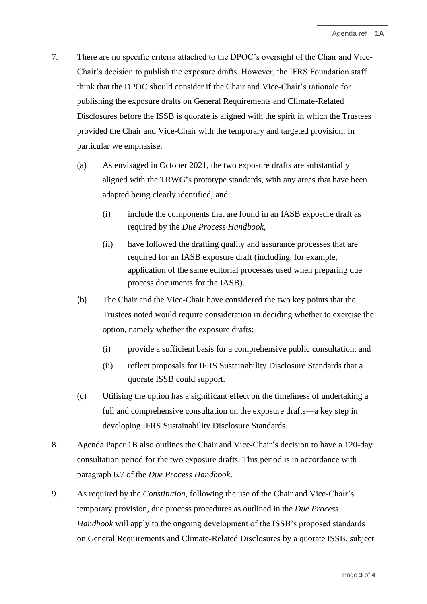- 7. There are no specific criteria attached to the DPOC's oversight of the Chair and Vice-Chair's decision to publish the exposure drafts. However, the IFRS Foundation staff think that the DPOC should consider if the Chair and Vice-Chair's rationale for publishing the exposure drafts on General Requirements and Climate-Related Disclosures before the ISSB is quorate is aligned with the spirit in which the Trustees provided the Chair and Vice-Chair with the temporary and targeted provision. In particular we emphasise:
	- (a) As envisaged in October 2021, the two exposure drafts are substantially aligned with the TRWG's prototype standards, with any areas that have been adapted being clearly identified, and:
		- (i) include the components that are found in an IASB exposure draft as required by the *Due Process Handbook,*
		- (ii) have followed the drafting quality and assurance processes that are required for an IASB exposure draft (including, for example, application of the same editorial processes used when preparing due process documents for the IASB).
	- (b) The Chair and the Vice-Chair have considered the two key points that the Trustees noted would require consideration in deciding whether to exercise the option, namely whether the exposure drafts:
		- (i) provide a sufficient basis for a comprehensive public consultation; and
		- (ii) reflect proposals for IFRS Sustainability Disclosure Standards that a quorate ISSB could support.
	- (c) Utilising the option has a significant effect on the timeliness of undertaking a full and comprehensive consultation on the exposure drafts—a key step in developing IFRS Sustainability Disclosure Standards.
- 8. Agenda Paper 1B also outlines the Chair and Vice-Chair's decision to have a 120-day consultation period for the two exposure drafts. This period is in accordance with paragraph 6.7 of the *Due Process Handbook*.
- 9. As required by the *Constitution*, following the use of the Chair and Vice-Chair's temporary provision, due process procedures as outlined in the *Due Process Handbook* will apply to the ongoing development of the ISSB's proposed standards on General Requirements and Climate-Related Disclosures by a quorate ISSB, subject